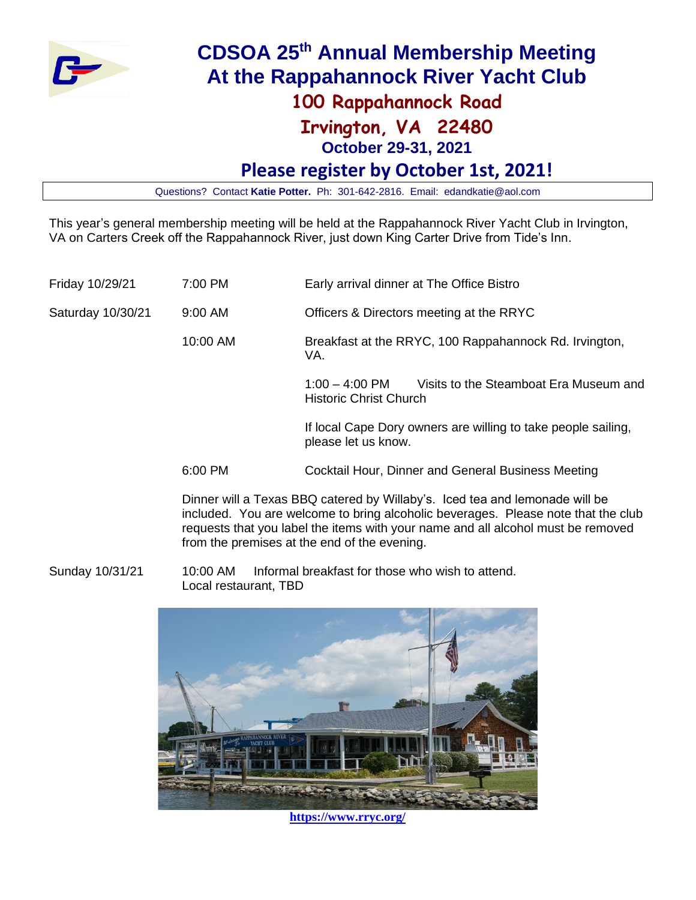

# **CDSOA 25th Annual Membership Meeting At the Rappahannock River Yacht Club**

## **100 Rappahannock Road**

# **Irvington, VA 22480**

**October 29-31, 2021**

## **Please register by October 1st, 2021!**

Questions? Contact **Katie Potter.** Ph: 301-642-2816. Email: edandkatie@aol.com

This year's general membership meeting will be held at the Rappahannock River Yacht Club in Irvington, VA on Carters Creek off the Rappahannock River, just down King Carter Drive from Tide's Inn.

| Friday 10/29/21   | 7:00 PM   | Early arrival dinner at The Office Bistro                                                   |  |  |
|-------------------|-----------|---------------------------------------------------------------------------------------------|--|--|
| Saturday 10/30/21 | $9:00$ AM | Officers & Directors meeting at the RRYC                                                    |  |  |
|                   | 10:00 AM  | Breakfast at the RRYC, 100 Rappahannock Rd. Irvington,<br>VA.                               |  |  |
|                   |           | Visits to the Steamboat Era Museum and<br>$1:00 - 4:00$ PM<br><b>Historic Christ Church</b> |  |  |
|                   |           | If local Cape Dory owners are willing to take people sailing,<br>please let us know.        |  |  |
|                   | 6:00 PM   | Cocktail Hour, Dinner and General Business Meeting                                          |  |  |

Dinner will a Texas BBQ catered by Willaby's. Iced tea and lemonade will be included. You are welcome to bring alcoholic beverages. Please note that the club requests that you label the items with your name and all alcohol must be removed from the premises at the end of the evening.

Sunday 10/31/21 10:00 AM Informal breakfast for those who wish to attend. Local restaurant, TBD



**<https://www.rryc.org/>**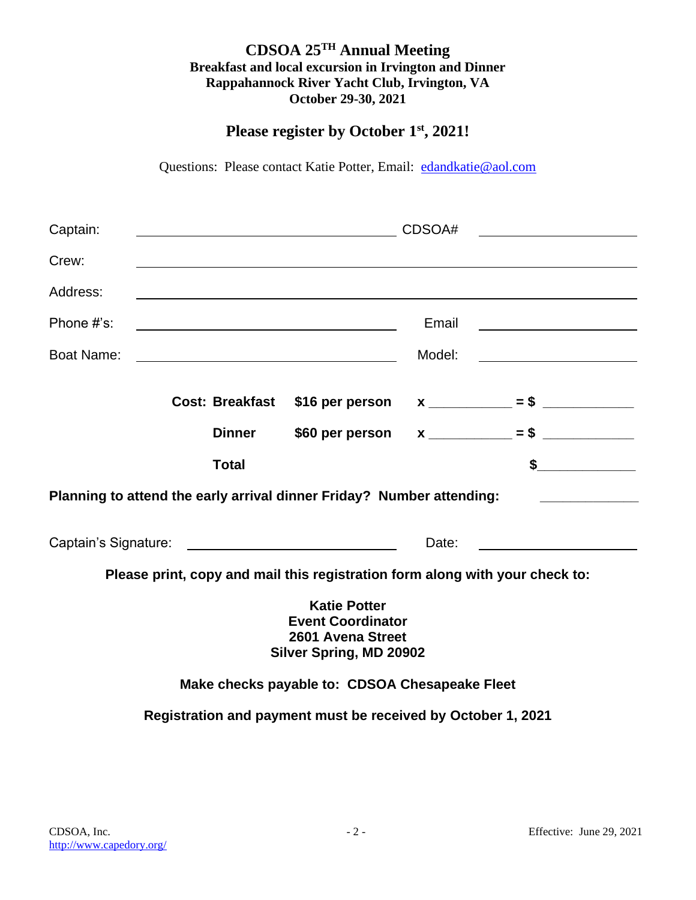#### **CDSOA 25TH Annual Meeting Breakfast and local excursion in Irvington and Dinner Rappahannock River Yacht Club, Irvington, VA October 29-30, 2021**

### **Please register by October 1st, 2021!**

Questions: Please contact Katie Potter, Email: [edandkatie@aol.com](mailto:edandkatie@aol.com)

| Captain:                                                                                        | CDSOA# |               |                                                                                                                     |        |                                                                  |  |  |
|-------------------------------------------------------------------------------------------------|--------|---------------|---------------------------------------------------------------------------------------------------------------------|--------|------------------------------------------------------------------|--|--|
| Crew:                                                                                           |        |               |                                                                                                                     |        |                                                                  |  |  |
| Address:                                                                                        |        |               |                                                                                                                     |        |                                                                  |  |  |
| Phone #'s:                                                                                      |        |               |                                                                                                                     | Email  | <u> 1989 - Johann Barbara, martin amerikan basar da</u>          |  |  |
| <b>Boat Name:</b>                                                                               |        |               | <u> 1980 - Johann Barbara, martin amerikan basar dan basa dan basar dalam basa dalam basa dalam basa dalam basa</u> | Model: | <u> 1980 - Johann Barbara, martin a</u>                          |  |  |
|                                                                                                 |        |               |                                                                                                                     |        | Cost: Breakfast $$16$ per person $x$ ___________ = \$ __________ |  |  |
|                                                                                                 |        | <b>Dinner</b> | \$60 per person                                                                                                     |        | $x \sim 5$                                                       |  |  |
|                                                                                                 |        | <b>Total</b>  |                                                                                                                     |        | \$<br><u> 1980 - Jan Sarajević, politik po</u>                   |  |  |
| Planning to attend the early arrival dinner Friday? Number attending:                           |        |               |                                                                                                                     |        |                                                                  |  |  |
|                                                                                                 |        |               | Date:                                                                                                               |        |                                                                  |  |  |
| Please print, copy and mail this registration form along with your check to:                    |        |               |                                                                                                                     |        |                                                                  |  |  |
| <b>Katie Potter</b><br><b>Event Coordinator</b><br>2601 Avena Street<br>Silver Spring, MD 20902 |        |               |                                                                                                                     |        |                                                                  |  |  |
| Make checks payable to: CDSOA Chesapeake Fleet                                                  |        |               |                                                                                                                     |        |                                                                  |  |  |
| Registration and payment must be received by October 1, 2021                                    |        |               |                                                                                                                     |        |                                                                  |  |  |